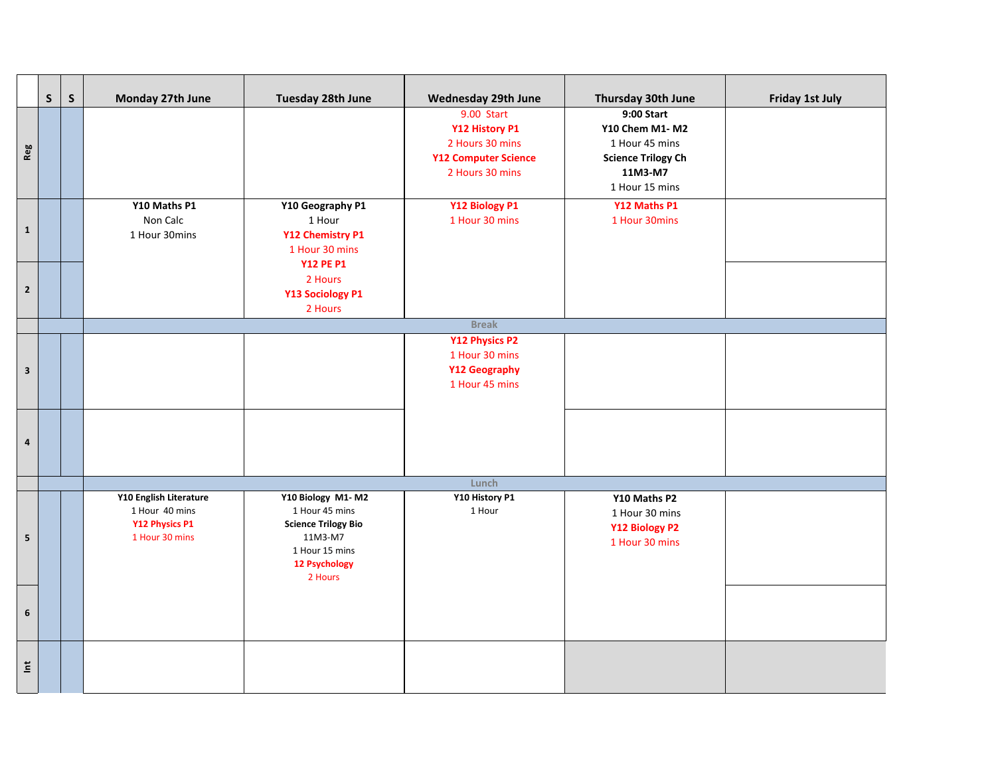|                         | $\mathsf{S}$ | $\mathsf{S}$ | Monday 27th June                                                             | Tuesday 28th June                                                                                                                 | Wednesday 29th June                                                                               | Thursday 30th June                                                                                       | <b>Friday 1st July</b> |  |  |
|-------------------------|--------------|--------------|------------------------------------------------------------------------------|-----------------------------------------------------------------------------------------------------------------------------------|---------------------------------------------------------------------------------------------------|----------------------------------------------------------------------------------------------------------|------------------------|--|--|
| Reg                     |              |              |                                                                              |                                                                                                                                   | 9.00 Start<br>Y12 History P1<br>2 Hours 30 mins<br><b>Y12 Computer Science</b><br>2 Hours 30 mins | 9:00 Start<br>Y10 Chem M1-M2<br>1 Hour 45 mins<br><b>Science Trilogy Ch</b><br>11M3-M7<br>1 Hour 15 mins |                        |  |  |
| $\mathbf{1}$            |              |              | Y10 Maths P1<br>Non Calc<br>1 Hour 30mins                                    | Y10 Geography P1<br>1 Hour<br>Y12 Chemistry P1<br>1 Hour 30 mins                                                                  | Y12 Biology P1<br>1 Hour 30 mins                                                                  | Y12 Maths P1<br>1 Hour 30mins                                                                            |                        |  |  |
| $\mathbf{2}$            |              |              |                                                                              | <b>Y12 PE P1</b><br>2 Hours<br>Y13 Sociology P1<br>2 Hours                                                                        |                                                                                                   |                                                                                                          |                        |  |  |
|                         |              |              | <b>Break</b>                                                                 |                                                                                                                                   |                                                                                                   |                                                                                                          |                        |  |  |
| $\mathbf{3}$            |              |              |                                                                              |                                                                                                                                   | Y12 Physics P2<br>1 Hour 30 mins<br><b>Y12 Geography</b><br>1 Hour 45 mins                        |                                                                                                          |                        |  |  |
| $\overline{\mathbf{4}}$ |              |              |                                                                              |                                                                                                                                   |                                                                                                   |                                                                                                          |                        |  |  |
|                         |              |              | Lunch                                                                        |                                                                                                                                   |                                                                                                   |                                                                                                          |                        |  |  |
| 5                       |              |              | Y10 English Literature<br>1 Hour 40 mins<br>Y12 Physics P1<br>1 Hour 30 mins | Y10 Biology M1-M2<br>1 Hour 45 mins<br><b>Science Trilogy Bio</b><br>11M3-M7<br>1 Hour 15 mins<br><b>12 Psychology</b><br>2 Hours | Y10 History P1<br>1 Hour                                                                          | Y10 Maths P2<br>1 Hour 30 mins<br>Y12 Biology P2<br>1 Hour 30 mins                                       |                        |  |  |
| 6                       |              |              |                                                                              |                                                                                                                                   |                                                                                                   |                                                                                                          |                        |  |  |
| $\breve{\Xi}$           |              |              |                                                                              |                                                                                                                                   |                                                                                                   |                                                                                                          |                        |  |  |